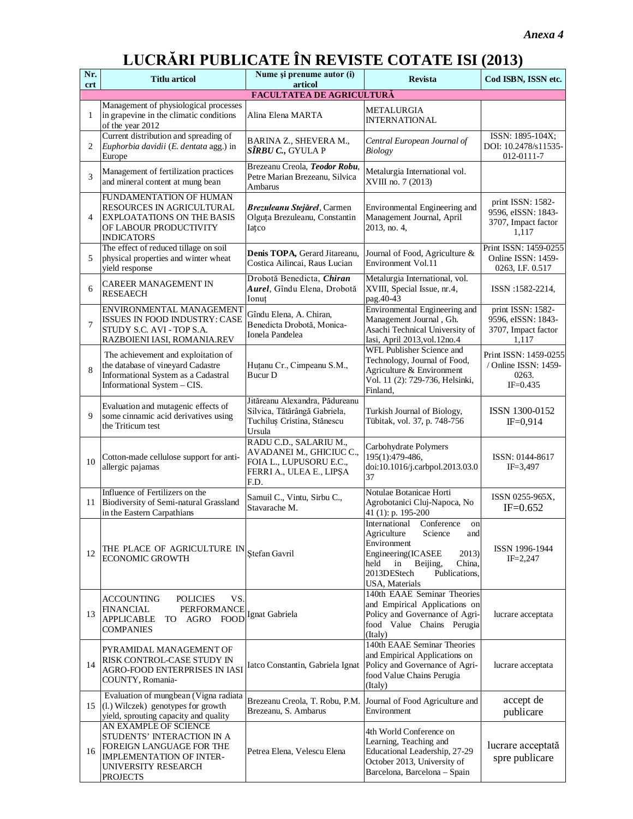# **LUCRĂRI PUBLICATE ÎN REVISTE COTATE ISI (2013)**

| Nr.<br>crt | <b>Titlu articol</b>                                                                                                                                         | Nume și prenume autor (i)<br>articol                                                                              | <b>Revista</b>                                                                                                                                                                                      | Cod ISBN, ISSN etc.                                                     |
|------------|--------------------------------------------------------------------------------------------------------------------------------------------------------------|-------------------------------------------------------------------------------------------------------------------|-----------------------------------------------------------------------------------------------------------------------------------------------------------------------------------------------------|-------------------------------------------------------------------------|
|            |                                                                                                                                                              | <b>FACULTATEA DE AGRICULTURĂ</b>                                                                                  |                                                                                                                                                                                                     |                                                                         |
| 1          | Management of physiological processes<br>in grapevine in the climatic conditions<br>of the year 2012                                                         | Alina Elena MARTA                                                                                                 | METALURGIA<br><b>INTERNATIONAL</b>                                                                                                                                                                  |                                                                         |
| 2          | Current distribution and spreading of<br>Euphorbia davidii (E. dentata agg.) in<br>Europe                                                                    | BARINA Z., SHEVERA M.,<br><i>SÎRBU C.</i> , GYULA P                                                               | Central European Journal of<br>Biology                                                                                                                                                              | ISSN: 1895-104X;<br>DOI: 10.2478/s11535-<br>012-0111-7                  |
| 3          | Management of fertilization practices<br>and mineral content at mung bean                                                                                    | Brezeanu Creola, Teodor Robu,<br>Petre Marian Brezeanu, Silvica<br>Ambarus                                        | Metalurgia International vol.<br>XVIII no. 7 (2013)                                                                                                                                                 |                                                                         |
| 4          | FUNDAMENTATION OF HUMAN<br>RESOURCES IN AGRICULTURAL<br><b>EXPLOATATIONS ON THE BASIS</b><br>OF LABOUR PRODUCTIVITY<br><b>INDICATORS</b>                     | Brezuleanu Stejărel, Carmen<br>Olguța Brezuleanu, Constantin<br>Iatco                                             | Environmental Engineering and<br>Management Journal, April<br>2013, no. 4,                                                                                                                          | print ISSN: 1582-<br>9596, eISSN: 1843-<br>3707, Impact factor<br>1,117 |
| 5          | The effect of reduced tillage on soil<br>physical properties and winter wheat<br>yield response                                                              | Denis TOPA, Gerard Jitareanu,<br>Costica Ailincai, Raus Lucian                                                    | Journal of Food, Agriculture &<br>Environment Vol.11                                                                                                                                                | Print ISSN: 1459-0255<br>Online ISSN: 1459-<br>0263, I.F. 0.517         |
| 6          | <b>CAREER MANAGEMENT IN</b><br><b>RESEAECH</b>                                                                                                               | Drobotă Benedicta, Chiran<br>Aurel, Gîndu Elena, Drobotă<br>Ionut                                                 | Metalurgia International, vol.<br>XVIII, Special Issue, nr.4,<br>pag.40-43                                                                                                                          | ISSN:1582-2214,                                                         |
| 7          | ENVIRONMENTAL MANAGEMENT<br>ISSUES IN FOOD INDUSTRY: CASE<br>STUDY S.C. AVI - TOP S.A.<br>RAZBOIENI IASI, ROMANIA.REV                                        | Gîndu Elena, A. Chiran,<br>Benedicta Drobotă, Monica-<br>Ionela Pandelea                                          | Environmental Engineering and<br>Management Journal, Gh.<br>Asachi Technical University of<br>Iasi, April 2013, vol. 12no. 4                                                                        | print ISSN: 1582-<br>9596, eISSN: 1843-<br>3707, Impact factor<br>1.117 |
| 8          | The achievement and exploitation of<br>the database of vineyard Cadastre<br>Informational System as a Cadastral<br>Informational System - CIS.               | Huțanu Cr., Cimpeanu S.M.,<br><b>Bucur</b> D                                                                      | WFL Publisher Science and<br>Technology, Journal of Food,<br>Agriculture & Environment<br>Vol. 11 (2): 729-736, Helsinki,<br>Finland,                                                               | Print ISSN: 1459-0255<br>/ Online ISSN: 1459-<br>0263.<br>$IF = 0.435$  |
| 9          | Evaluation and mutagenic effects of<br>some cinnamic acid derivatives using<br>the Triticum test                                                             | Jităreanu Alexandra, Pădureanu<br>Silvica, Tătărângă Gabriela,<br>Tuchiluș Cristina, Stănescu<br>Ursula           | Turkish Journal of Biology,<br>Tübitak, vol. 37, p. 748-756                                                                                                                                         | ISSN 1300-0152<br>$IF = 0.914$                                          |
| 10         | Cotton-made cellulose support for anti-<br>allergic pajamas                                                                                                  | RADU C.D., SALARIU M.,<br>AVADANEI M., GHICIUC C.,<br>FOIA L., LUPUSORU E.C.,<br>FERRI A., ULEA E., LIPȘA<br>F.D. | Carbohydrate Polymers<br>195(1):479-486,<br>doi:10.1016/j.carbpol.2013.03.0<br>37                                                                                                                   | ISSN: 0144-8617<br>$IF = 3,497$                                         |
| 11         | Influence of Fertilizers on the<br>Biodiversity of Semi-natural Grassland<br>in the Eastern Carpathians                                                      | Samuil C., Vintu, Sirbu C.,<br>Stavarache M.                                                                      | Notulae Botanicae Horti<br>Agrobotanici Cluj-Napoca, No<br>41 (1): p. 195-200                                                                                                                       | ISSN 0255-965X,<br>$IF = 0.652$                                         |
| 12         | THE PLACE OF AGRICULTURE IN Stefan Gavril<br><b>ECONOMIC GROWTH</b>                                                                                          |                                                                                                                   | International Conference<br>on<br>Agriculture<br>Science<br>and<br>Environment<br>Engineering(ICASEE<br>2013)<br>held<br>Beijing,<br>China,<br>in<br>2013DEStech<br>Publications,<br>USA, Materials | ISSN 1996-1944<br>$IF = 2,247$                                          |
| 13         | ACCOUNTING<br><b>POLICIES</b><br>VS.<br>FINANCIAL<br>PERFORMANCE<br><b>APPLICABLE</b><br>TO.<br>AGRO<br><b>COMPANIES</b>                                     | FOOD Ignat Gabriela                                                                                               | 140th EAAE Seminar Theories<br>and Empirical Applications on<br>Policy and Governance of Agri-<br>food Value Chains Perugia<br>(Italy)                                                              | lucrare acceptata                                                       |
| 14         | PYRAMIDAL MANAGEMENT OF<br>RISK CONTROL-CASE STUDY IN<br>AGRO-FOOD ENTERPRISES IN IASI<br>COUNTY, Romania-                                                   | Iatco Constantin, Gabriela Ignat                                                                                  | 140th EAAE Seminar Theories<br>and Empirical Applications on<br>Policy and Governance of Agri-<br>food Value Chains Perugia<br>(Italy)                                                              | lucrare acceptata                                                       |
| 15         | Evaluation of mungbean (Vigna radiata<br>(l.) Wilczek) genotypes for growth<br>yield, sprouting capacity and quality                                         | Brezeanu Creola, T. Robu, P.M.<br>Brezeanu, S. Ambarus                                                            | Journal of Food Agriculture and<br>Environment                                                                                                                                                      | accept de<br>publicare                                                  |
| 16         | AN EXAMPLE OF SCIENCE<br>STUDENTS' INTERACTION IN A<br>FOREIGN LANGUAGE FOR THE<br><b>IMPLEMENTATION OF INTER-</b><br>UNIVERSITY RESEARCH<br><b>PROJECTS</b> | Petrea Elena, Velescu Elena                                                                                       | 4th World Conference on<br>Learning, Teaching and<br>Educational Leadership, 27-29<br>October 2013, University of<br>Barcelona, Barcelona - Spain                                                   | lucrare acceptată<br>spre publicare                                     |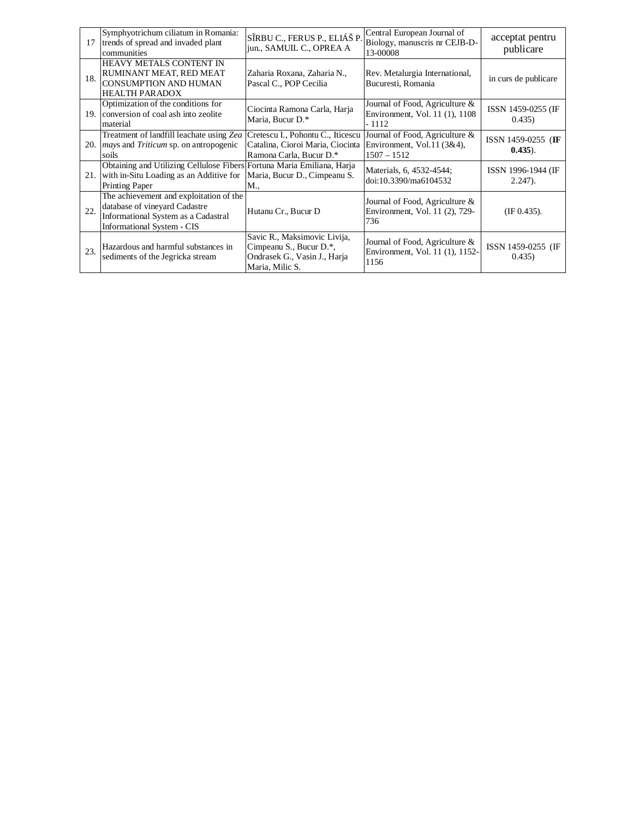| 17  | Symphyotrichum ciliatum in Romania:<br>trends of spread and invaded plant<br>communities                                                             | SÎRBU C., FERUS P., ELIÁŠ P.<br>jun., SAMUIL C., OPREA A                                                   | Central European Journal of<br>Biology, manuscris nr CEJB-D-<br>13-00008      | acceptat pentru<br>publicare      |
|-----|------------------------------------------------------------------------------------------------------------------------------------------------------|------------------------------------------------------------------------------------------------------------|-------------------------------------------------------------------------------|-----------------------------------|
| 18. | HEAVY METALS CONTENT IN<br>RUMINANT MEAT, RED MEAT<br>CONSUMPTION AND HUMAN<br><b>HEALTH PARADOX</b>                                                 | Zaharia Roxana, Zaharia N.,<br>Pascal C., POP Cecilia                                                      | Rev. Metalurgia International,<br>Bucuresti, Romania                          | in curs de publicare              |
|     | Optimization of the conditions for<br>19. Conversion of coal ash into zeolite<br>material                                                            | Ciocinta Ramona Carla, Harja<br>Maria, Bucur D.*                                                           | Journal of Food, Agriculture &<br>Environment, Vol. 11 (1), 1108<br>- 1112    | ISSN 1459-0255 (IF<br>0.435)      |
|     | Treatment of landfill leachate using Zea<br>20. <i>mays</i> and <i>Triticum</i> sp. on antropogenic<br>soils                                         | Cretescu I., Pohontu C., Iticescu<br>Catalina, Cioroi Maria, Ciocinta<br>Ramona Carla, Bucur D.*           | Journal of Food, Agriculture &<br>Environment, Vol.11 (3&4),<br>$1507 - 1512$ | ISSN 1459-0255 (IF<br>$(0.435)$ . |
|     | Obtaining and Utilizing Cellulose Fibers Fortuna Maria Emiliana, Harja<br>21. with in-Situ Loading as an Additive for<br>Printing Paper              | Maria, Bucur D., Cimpeanu S.<br>M.,                                                                        | Materials, 6, 4532-4544;<br>doi:10.3390/ma6104532                             | ISSN 1996-1944 (IF<br>$2.247$ ).  |
| 22. | The achievement and exploitation of the<br>database of vineyard Cadastre<br>Informational System as a Cadastral<br><b>Informational System - CIS</b> | Hutanu Cr., Bucur D                                                                                        | Journal of Food, Agriculture &<br>Environment, Vol. 11 (2), 729-<br>736       | (IF 0.435).                       |
| 23. | Hazardous and harmful substances in<br>sediments of the Jegricka stream                                                                              | Savic R., Maksimovic Livija,<br>Cimpeanu S., Bucur D.*,<br>Ondrasek G., Vasin J., Harja<br>Maria, Milic S. | Journal of Food, Agriculture &<br>Environment, Vol. 11 (1), 1152-<br>1156     | ISSN 1459-0255 (IF<br>0.435)      |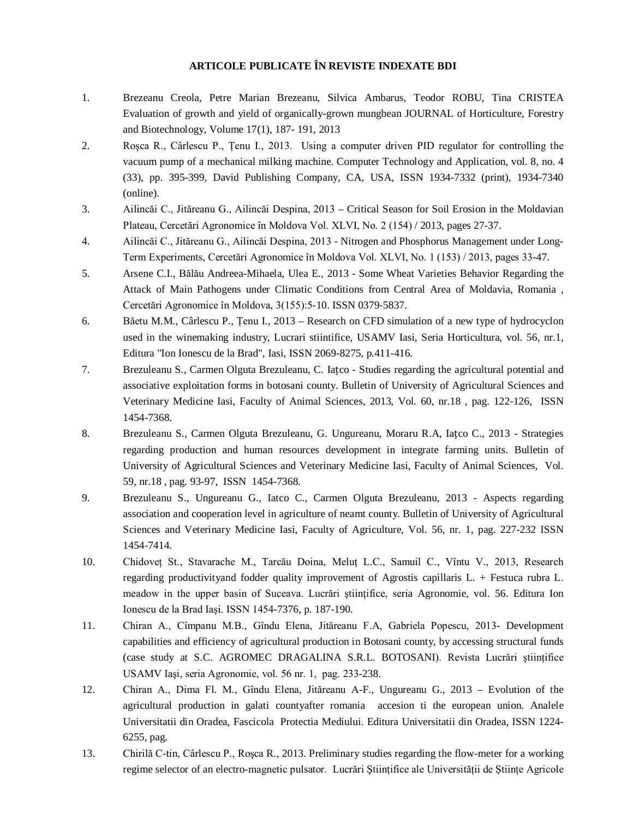#### **ARTICOLE PUBLICATE ÎN REVISTE INDEXATE BDI**

- 1. Brezeanu Creola, Petre Marian Brezeanu, Silvica Ambarus, Teodor ROBU, Tina CRISTEA Evaluation of growth and yield of organically-grown mungbean JOURNAL of Horticulture, Forestry and Biotechnology, Volume 17(1), 187- 191, 2013
- 2. Roşca R., Cârlescu P., Ţenu I., 2013. Using a computer driven PID regulator for controlling the vacuum pump of a mechanical milking machine. Computer Technology and Application, vol. 8, no. 4 (33), pp. 395-399, David Publishing Company, CA, USA, ISSN 1934-7332 (print), 1934-7340 (online).
- 3. Ailincăi C., Jităreanu G., Ailincăi Despina, 2013 Critical Season for Soil Erosion in the Moldavian Plateau, Cercetări Agronomice în Moldova Vol. XLVI, No. 2 (154) / 2013, pages 27-37.
- 4. Ailincăi C., Jităreanu G., Ailincăi Despina, 2013 Nitrogen and Phosphorus Management under Long-Term Experiments, Cercetări Agronomice în Moldova Vol. XLVI, No. 1 (153) / 2013, pages 33-47.
- 5. Arsene C.I., Bălău Andreea-Mihaela, Ulea E., 2013 Some Wheat Varieties Behavior Regarding the Attack of Main Pathogens under Climatic Conditions from Central Area of Moldavia, Romania , Cercetări Agronomice în Moldova, 3(155):5-10. ISSN 0379-5837.
- 6. Băetu M.M., Cârlescu P., Ţenu I., 2013 Research on CFD simulation of a new type of hydrocyclon used in the winemaking industry, Lucrari stiintifice, USAMV Iasi, Seria Horticultura, vol. 56, nr.1, Editura "Ion Ionescu de la Brad", Iasi, ISSN 2069-8275, p.411-416.
- 7. Brezuleanu S., Carmen Olguta Brezuleanu, C. Iațco Studies regarding the agricultural potential and associative exploitation forms in botosani county. Bulletin of University of Agricultural Sciences and Veterinary Medicine Iasi, Faculty of Animal Sciences, 2013, Vol. 60, nr.18 , pag. 122-126, ISSN 1454-7368.
- 8. Brezuleanu S., Carmen Olguta Brezuleanu, G. Ungureanu, Moraru R.A, Iațco C., 2013 Strategies regarding production and human resources development in integrate farming units. Bulletin of University of Agricultural Sciences and Veterinary Medicine Iasi, Faculty of Animal Sciences, Vol. 59, nr.18 , pag. 93-97, ISSN 1454-7368.
- 9. Brezuleanu S., Ungureanu G., Iatco C., Carmen Olguta Brezuleanu, 2013 Aspects regarding association and cooperation level in agriculture of neamt county. Bulletin of University of Agricultural Sciences and Veterinary Medicine Iasi, Faculty of Agriculture, Vol. 56, nr. 1, pag. 227-232 ISSN 1454-7414.
- 10. Chidovet St., Stavarache M., Tarcău Doina, Melut L.C., Samuil C., Vîntu V., 2013, Research regarding productivityand fodder quality improvement of Agrostis capillaris L. + Festuca rubra L. meadow in the upper basin of Suceava. Lucrări științifice, seria Agronomie, vol. 56. Editura Ion Ionescu de la Brad Iaşi. ISSN 1454-7376, p. 187-190.
- 11. Chiran A., Cîmpanu M.B., Gîndu Elena, Jităreanu F.A, Gabriela Popescu, 2013- Development capabilities and efficiency of agricultural production in Botosani county, by accessing structural funds (case study at S.C. AGROMEC DRAGALINA S.R.L. BOTOSANI). Revista Lucrări ştiinţifice USAMV Iaşi, seria Agronomie, vol. 56 nr. 1, pag. 233-238.
- 12. Chiran A., Dima Fl. M., Gîndu Elena, Jităreanu A-F., Ungureanu G., 2013 Evolution of the agricultural production in galati countyafter romania accesion ti the european union. Analele Universitatii din Oradea, Fascicola Protectia Mediului. Editura Universitatii din Oradea, ISSN 1224- 6255, pag.
- 13. Chirilă C-tin, Cârlescu P., Roşca R., 2013. Preliminary studies regarding the flow-meter for a working regime selector of an electro-magnetic pulsator. Lucrări Stiințifice ale Universității de Stiințe Agricole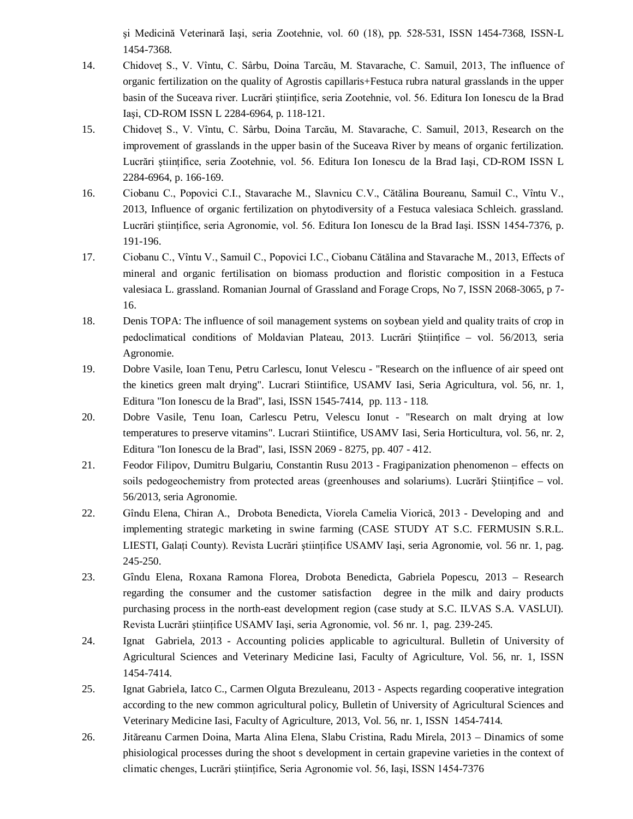şi Medicină Veterinară Iaşi, seria Zootehnie, vol. 60 (18), pp. 528-531, ISSN 1454-7368, ISSN-L 1454-7368.

- 14. Chidoveţ S., V. Vîntu, C. Sârbu, Doina Tarcău, M. Stavarache, C. Samuil, 2013, The influence of organic fertilization on the quality of Agrostis capillaris+Festuca rubra natural grasslands in the upper basin of the Suceava river. Lucrări ştiinţifice, seria Zootehnie, vol. 56. Editura Ion Ionescu de la Brad Iaşi, CD-ROM ISSN L 2284-6964, p. 118-121.
- 15. Chidoveţ S., V. Vîntu, C. Sârbu, Doina Tarcău, M. Stavarache, C. Samuil, 2013, Research on the improvement of grasslands in the upper basin of the Suceava River by means of organic fertilization. Lucrări științifice, seria Zootehnie, vol. 56. Editura Ion Ionescu de la Brad Iași, CD-ROM ISSN L 2284-6964, p. 166-169.
- 16. Ciobanu C., Popovici C.I., Stavarache M., Slavnicu C.V., Cătălina Boureanu, Samuil C., Vîntu V., 2013, Influence of organic fertilization on phytodiversity of a Festuca valesiaca Schleich. grassland. Lucrări ştiinţifice, seria Agronomie, vol. 56. Editura Ion Ionescu de la Brad Iaşi. ISSN 1454-7376, p. 191-196.
- 17. Ciobanu C., Vîntu V., Samuil C., Popovici I.C., Ciobanu Cătălina and Stavarache M., 2013, Effects of mineral and organic fertilisation on biomass production and floristic composition in a Festuca valesiaca L. grassland. Romanian Journal of Grassland and Forage Crops, No 7, ISSN 2068-3065, p 7- 16.
- 18. Denis TOPA: The influence of soil management systems on soybean yield and quality traits of crop in pedoclimatical conditions of Moldavian Plateau, 2013. Lucrări Stiintifice – vol. 56/2013, seria Agronomie.
- 19. Dobre Vasile, Ioan Tenu, Petru Carlescu, Ionut Velescu "Research on the influence of air speed ont the kinetics green malt drying". Lucrari Stiintifice, USAMV Iasi, Seria Agricultura, vol. 56, nr. 1, Editura "Ion Ionescu de la Brad", Iasi, ISSN 1545-7414, pp. 113 - 118.
- 20. Dobre Vasile, Tenu Ioan, Carlescu Petru, Velescu Ionut "Research on malt drying at low temperatures to preserve vitamins". Lucrari Stiintifice, USAMV Iasi, Seria Horticultura, vol. 56, nr. 2, Editura "Ion Ionescu de la Brad", Iasi, ISSN 2069 - 8275, pp. 407 - 412.
- 21. Feodor Filipov, Dumitru Bulgariu, Constantin Rusu 2013 Fragipanization phenomenon effects on soils pedogeochemistry from protected areas (greenhouses and solariums). Lucrări Științifice – vol. 56/2013, seria Agronomie.
- 22. Gîndu Elena, Chiran A., Drobota Benedicta, Viorela Camelia Viorică, 2013 Developing and and implementing strategic marketing in swine farming (CASE STUDY AT S.C. FERMUSIN S.R.L. LIESTI, Galaţi County). Revista Lucrări ştiinţifice USAMV Iaşi, seria Agronomie, vol. 56 nr. 1, pag. 245-250.
- 23. Gîndu Elena, Roxana Ramona Florea, Drobota Benedicta, Gabriela Popescu, 2013 Research regarding the consumer and the customer satisfaction degree in the milk and dairy products purchasing process in the north-east development region (case study at S.C. ILVAS S.A. VASLUI). Revista Lucrări ştiinţifice USAMV Iaşi, seria Agronomie, vol. 56 nr. 1, pag. 239-245.
- 24. Ignat Gabriela, 2013 Accounting policies applicable to agricultural. Bulletin of University of Agricultural Sciences and Veterinary Medicine Iasi, Faculty of Agriculture, Vol. 56, nr. 1, ISSN 1454-7414.
- 25. Ignat Gabriela, Iatco C., Carmen Olguta Brezuleanu, 2013 Aspects regarding cooperative integration according to the new common agricultural policy, Bulletin of University of Agricultural Sciences and Veterinary Medicine Iasi, Faculty of Agriculture, 2013, Vol. 56, nr. 1, ISSN 1454-7414.
- 26. Jităreanu Carmen Doina, Marta Alina Elena, Slabu Cristina, Radu Mirela, 2013 Dinamics of some phisiological processes during the shoot s development in certain grapevine varieties in the context of climatic chenges, Lucrări ştiinţifice, Seria Agronomie vol. 56, Iaşi, ISSN 1454-7376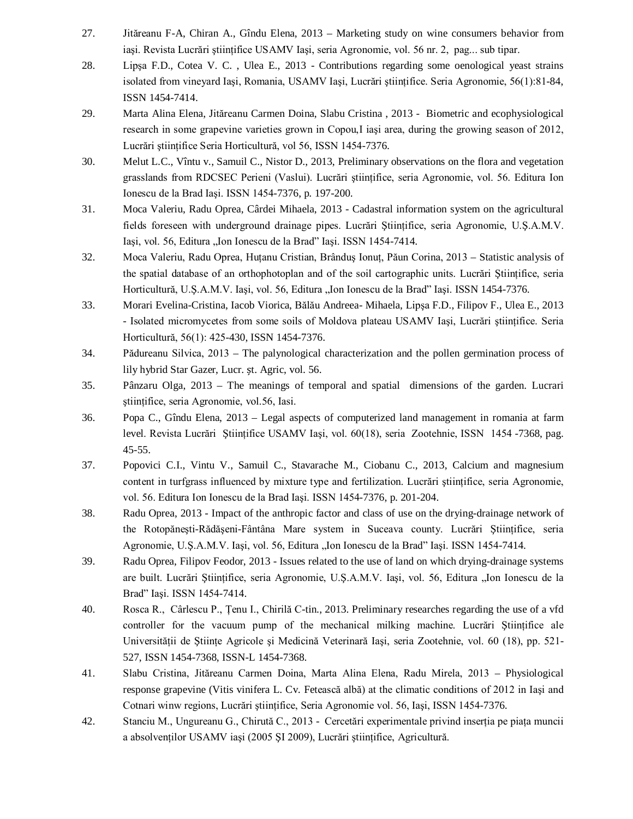- 27. Jităreanu F-A, Chiran A., Gîndu Elena, 2013 Marketing study on wine consumers behavior from iași. Revista Lucrări științifice USAMV Iași, seria Agronomie, vol. 56 nr. 2, pag... sub tipar.
- 28. Lipşa F.D., Cotea V. C. , Ulea E., 2013 Contributions regarding some oenological yeast strains isolated from vineyard Iași, Romania, USAMV Iași, Lucrări științifice. Seria Agronomie, 56(1):81-84, ISSN 1454-7414.
- 29. Marta Alina Elena, Jităreanu Carmen Doina, Slabu Cristina , 2013 Biometric and ecophysiological research in some grapevine varieties grown in Copou,I iaşi area, during the growing season of 2012, Lucrări ştiinţifice Seria Horticultură, vol 56, ISSN 1454-7376.
- 30. Melut L.C., Vîntu v., Samuil C., Nistor D., 2013, Preliminary observations on the flora and vegetation grasslands from RDCSEC Perieni (Vaslui). Lucrări științifice, seria Agronomie, vol. 56. Editura Ion Ionescu de la Brad Iaşi. ISSN 1454-7376, p. 197-200.
- 31. Moca Valeriu, Radu Oprea, Cârdei Mihaela, 2013 Cadastral information system on the agricultural fields foreseen with underground drainage pipes. Lucrări Ştiinţifice, seria Agronomie, U.Ş.A.M.V. Iași, vol. 56, Editura "Ion Ionescu de la Brad" Iași. ISSN 1454-7414.
- 32. Moca Valeriu, Radu Oprea, Huţanu Cristian, Brânduş Ionuţ, Păun Corina, 2013 Statistic analysis of the spatial database of an orthophotoplan and of the soil cartographic units. Lucrări Ştiinţifice, seria Horticultură, U.Ş.A.M.V. Iași, vol. 56, Editura "Ion Ionescu de la Brad" Iași. ISSN 1454-7376.
- 33. Morari Evelina-Cristina, Iacob Viorica, Bălău Andreea- Mihaela, Lipşa F.D., Filipov F., Ulea E., 2013 - Isolated micromycetes from some soils of Moldova plateau USAMV Iaşi, Lucrări ştiinţifice. Seria Horticultură, 56(1): 425-430, ISSN 1454-7376.
- 34. Pădureanu Silvica, 2013 The palynological characterization and the pollen germination process of lily hybrid Star Gazer, Lucr. șt. Agric, vol. 56.
- 35. Pânzaru Olga, 2013 The meanings of temporal and spatial dimensions of the garden. Lucrari ştiinţifice, seria Agronomie, vol.56, Iasi.
- 36. Popa C., Gîndu Elena, 2013 Legal aspects of computerized land management in romania at farm level. Revista Lucrări Ştiinţifice USAMV Iaşi, vol. 60(18), seria Zootehnie, ISSN 1454 -7368, pag. 45-55.
- 37. Popovici C.I., Vintu V., Samuil C., Stavarache M., Ciobanu C., 2013, Calcium and magnesium content in turfgrass influenced by mixture type and fertilization. Lucrări ştiinţifice, seria Agronomie, vol. 56. Editura Ion Ionescu de la Brad Iaşi. ISSN 1454-7376, p. 201-204.
- 38. Radu Oprea, 2013 Impact of the anthropic factor and class of use on the drying-drainage network of the Rotopăneşti-Rădăşeni-Fântâna Mare system in Suceava county. Lucrări Ştiinţifice, seria Agronomie, U.Ş.A.M.V. Iaşi, vol. 56, Editura "Ion Ionescu de la Brad" Iași. ISSN 1454-7414.
- 39. Radu Oprea, Filipov Feodor, 2013 Issues related to the use of land on which drying-drainage systems are built. Lucrări Științifice, seria Agronomie, U.Ş.A.M.V. Iași, vol. 56, Editura "Ion Ionescu de la Brad" Iaşi. ISSN 1454-7414.
- 40. Rosca R., Cârlescu P., Ţenu I., Chirilă C-tin., 2013. Preliminary researches regarding the use of a vfd controller for the vacuum pump of the mechanical milking machine. Lucrări Științifice ale Universității de Stiinte Agricole și Medicină Veterinară Iași, seria Zootehnie, vol. 60 (18), pp. 521-527, ISSN 1454-7368, ISSN-L 1454-7368.
- 41. Slabu Cristina, Jităreanu Carmen Doina, Marta Alina Elena, Radu Mirela, 2013 Physiological response grapevine (Vitis vinifera L. Cv. Fetească albă) at the climatic conditions of 2012 in Iaşi and Cotnari winw regions, Lucrări ştiinţifice, Seria Agronomie vol. 56, Iaşi, ISSN 1454-7376.
- 42. Stanciu M., Ungureanu G., Chirută C., 2013 Cercetări experimentale privind inserţia pe piaţa muncii a absolvenţilor USAMV iaşi (2005 ŞI 2009), Lucrări ştiinţifice, Agricultură.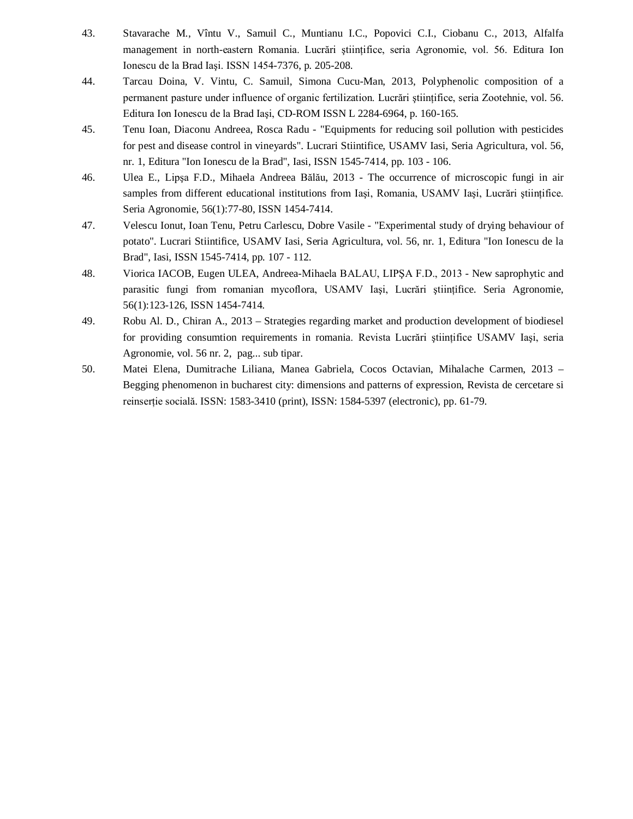- 43. Stavarache M., Vîntu V., Samuil C., Muntianu I.C., Popovici C.I., Ciobanu C., 2013, Alfalfa management in north-eastern Romania. Lucrări științifice, seria Agronomie, vol. 56. Editura Ion Ionescu de la Brad Iaşi. ISSN 1454-7376, p. 205-208.
- 44. Tarcau Doina, V. Vintu, C. Samuil, Simona Cucu-Man, 2013, Polyphenolic composition of a permanent pasture under influence of organic fertilization. Lucrări ştiinţifice, seria Zootehnie, vol. 56. Editura Ion Ionescu de la Brad Iaşi, CD-ROM ISSN L 2284-6964, p. 160-165.
- 45. Tenu Ioan, Diaconu Andreea, Rosca Radu "Equipments for reducing soil pollution with pesticides for pest and disease control in vineyards". Lucrari Stiintifice, USAMV Iasi, Seria Agricultura, vol. 56, nr. 1, Editura "Ion Ionescu de la Brad", Iasi, ISSN 1545-7414, pp. 103 - 106.
- 46. Ulea E., Lipşa F.D., Mihaela Andreea Bălău, 2013 The occurrence of microscopic fungi in air samples from different educational institutions from Iași, Romania, USAMV Iași, Lucrări științifice. Seria Agronomie, 56(1):77-80, ISSN 1454-7414.
- 47. Velescu Ionut, Ioan Tenu, Petru Carlescu, Dobre Vasile "Experimental study of drying behaviour of potato". Lucrari Stiintifice, USAMV Iasi, Seria Agricultura, vol. 56, nr. 1, Editura "Ion Ionescu de la Brad", Iasi, ISSN 1545-7414, pp. 107 - 112.
- 48. Viorica IACOB, Eugen ULEA, Andreea-Mihaela BALAU, LIPŞA F.D., 2013 New saprophytic and parasitic fungi from romanian mycoflora, USAMV Iaşi, Lucrări ştiinţifice. Seria Agronomie, 56(1):123-126, ISSN 1454-7414.
- 49. Robu Al. D., Chiran A., 2013 Strategies regarding market and production development of biodiesel for providing consumtion requirements in romania. Revista Lucrări științifice USAMV Iași, seria Agronomie, vol. 56 nr. 2, pag... sub tipar.
- 50. Matei Elena, Dumitrache Liliana, Manea Gabriela, Cocos Octavian, Mihalache Carmen, 2013 Begging phenomenon in bucharest city: dimensions and patterns of expression, Revista de cercetare si reinserţie socială. ISSN: 1583-3410 (print), ISSN: 1584-5397 (electronic), pp. 61-79.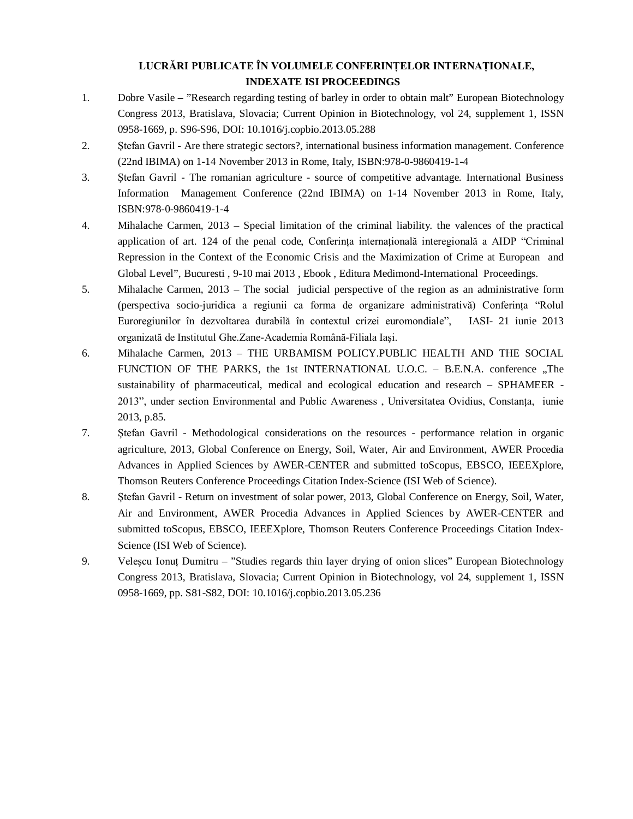### **LUCRĂRI PUBLICATE ÎN VOLUMELE CONFERINŢELOR INTERNAŢIONALE, INDEXATE ISI PROCEEDINGS**

- 1. Dobre Vasile "Research regarding testing of barley in order to obtain malt" European Biotechnology Congress 2013, Bratislava, Slovacia; Current Opinion in Biotechnology, vol 24, supplement 1, ISSN 0958-1669, p. S96-S96, DOI: 10.1016/j.copbio.2013.05.288
- 2. Ştefan Gavril Are there strategic sectors?, international business information management. Conference (22nd IBIMA) on 1-14 November 2013 in Rome, Italy, ISBN:978-0-9860419-1-4
- 3. Ştefan Gavril The romanian agriculture source of competitive advantage. International Business Information Management Conference (22nd IBIMA) on 1-14 November 2013 in Rome, Italy, ISBN:978-0-9860419-1-4
- 4. Mihalache Carmen, 2013 Special limitation of the criminal liability. the valences of the practical application of art. 124 of the penal code, Conferinta internatională interegională a AIDP "Criminal" Repression in the Context of the Economic Crisis and the Maximization of Crime at European and Global Level", Bucuresti , 9-10 mai 2013 , Ebook , Editura Medimond-International Proceedings.
- 5. Mihalache Carmen, 2013 The social judicial perspective of the region as an administrative form (perspectiva socio-juridica a regiunii ca forma de organizare administrativă) Conferinta "Rolul Euroregiunilor în dezvoltarea durabilă în contextul crizei euromondiale", IASI- 21 iunie 2013 organizată de Institutul Ghe.Zane-Academia Română-Filiala Iaşi.
- 6. Mihalache Carmen, 2013 THE URBAMISM POLICY.PUBLIC HEALTH AND THE SOCIAL FUNCTION OF THE PARKS, the 1st INTERNATIONAL U.O.C. - B.E.N.A. conference ,,The sustainability of pharmaceutical, medical and ecological education and research – SPHAMEER - 2013", under section Environmental and Public Awareness, Universitatea Ovidius, Constanta, iunie 2013, p.85.
- 7. Ştefan Gavril Methodological considerations on the resources performance relation in organic agriculture, 2013, Global Conference on Energy, Soil, Water, Air and Environment, AWER Procedia Advances in Applied Sciences by AWER-CENTER and submitted toScopus, EBSCO, IEEEXplore, Thomson Reuters Conference Proceedings Citation Index-Science (ISI Web of Science).
- 8. Ştefan Gavril Return on investment of solar power, 2013, Global Conference on Energy, Soil, Water, Air and Environment, AWER Procedia Advances in Applied Sciences by AWER-CENTER and submitted toScopus, EBSCO, IEEEXplore, Thomson Reuters Conference Proceedings Citation Index-Science (ISI Web of Science).
- 9. Veleşcu Ionuţ Dumitru "Studies regards thin layer drying of onion slices" European Biotechnology Congress 2013, Bratislava, Slovacia; Current Opinion in Biotechnology, vol 24, supplement 1, ISSN 0958-1669, pp. S81-S82, DOI: 10.1016/j.copbio.2013.05.236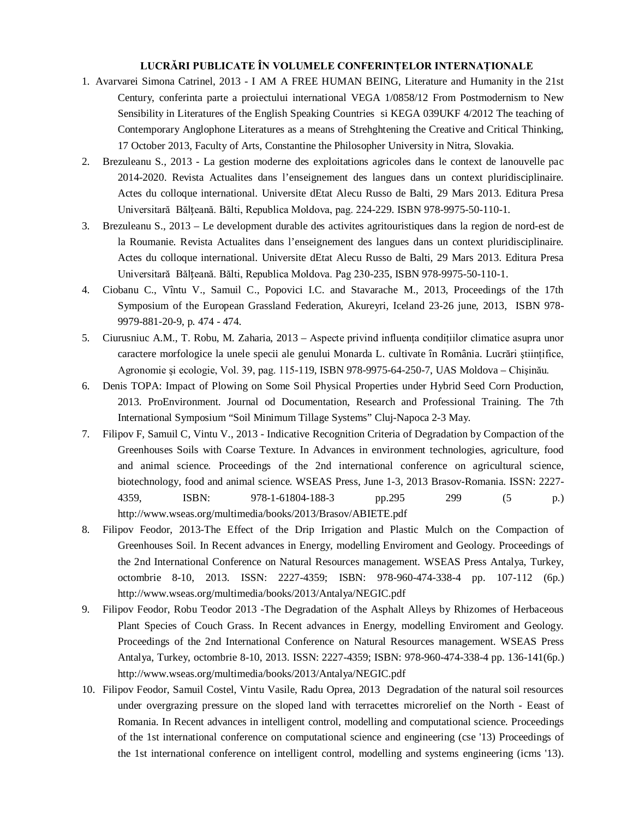#### **LUCRĂRI PUBLICATE ÎN VOLUMELE CONFERINŢELOR INTERNAŢIONALE**

- 1. Avarvarei Simona Catrinel, 2013 I AM A FREE HUMAN BEING, Literature and Humanity in the 21st Century, conferinta parte a proiectului international VEGA 1/0858/12 From Postmodernism to New Sensibility in Literatures of the English Speaking Countries si KEGA 039UKF 4/2012 The teaching of Contemporary Anglophone Literatures as a means of Strehghtening the Creative and Critical Thinking, 17 October 2013, Faculty of Arts, Constantine the Philosopher University in Nitra, Slovakia.
- 2. Brezuleanu S., 2013 La gestion moderne des exploitations agricoles dans le context de lanouvelle pac 2014-2020. Revista Actualites dans l'enseignement des langues dans un context pluridisciplinaire. Actes du colloque international. Universite dEtat Alecu Russo de Balti, 29 Mars 2013. Editura Presa Universitară Bălțeană. Bălti, Republica Moldova, pag. 224-229. ISBN 978-9975-50-110-1.
- 3. Brezuleanu S., 2013 Le development durable des activites agritouristiques dans la region de nord-est de la Roumanie. Revista Actualites dans l'enseignement des langues dans un context pluridisciplinaire. Actes du colloque international. Universite dEtat Alecu Russo de Balti, 29 Mars 2013. Editura Presa Universitară Bălțeană. Bălti, Republica Moldova. Pag 230-235, ISBN 978-9975-50-110-1.
- 4. Ciobanu C., Vîntu V., Samuil C., Popovici I.C. and Stavarache M., 2013, Proceedings of the 17th Symposium of the European Grassland Federation, Akureyri, Iceland 23-26 june, 2013, ISBN 978- 9979-881-20-9, p. 474 - 474.
- 5. Ciurusniuc A.M., T. Robu, M. Zaharia, 2013 Aspecte privind influenţa condiţiilor climatice asupra unor caractere morfologice la unele specii ale genului Monarda L. cultivate în România. Lucrări ştiinţifice, Agronomie şi ecologie, Vol. 39, pag. 115-119, ISBN 978-9975-64-250-7, UAS Moldova – Chişinău.
- 6. Denis TOPA: Impact of Plowing on Some Soil Physical Properties under Hybrid Seed Corn Production, 2013. ProEnvironment. Journal od Documentation, Research and Professional Training. The 7th International Symposium "Soil Minimum Tillage Systems" Cluj-Napoca 2-3 May.
- 7. Filipov F, Samuil C, Vintu V., 2013 Indicative Recognition Criteria of Degradation by Compaction of the Greenhouses Soils with Coarse Texture. In Advances in environment technologies, agriculture, food and animal science. Proceedings of the 2nd international conference on agricultural science, biotechnology, food and animal science. WSEAS Press, June 1-3, 2013 Brasov-Romania. ISSN: 2227- 4359, ISBN: 978-1-61804-188-3 pp.295 299 (5 p.) http://www.wseas.org/multimedia/books/2013/Brasov/ABIETE.pdf
- 8. Filipov Feodor, 2013-The Effect of the Drip Irrigation and Plastic Mulch on the Compaction of Greenhouses Soil. In Recent advances in Energy, modelling Enviroment and Geology. Proceedings of the 2nd International Conference on Natural Resources management. WSEAS Press Antalya, Turkey, octombrie 8-10, 2013. ISSN: 2227-4359; ISBN: 978-960-474-338-4 pp. 107-112 (6p.) http://www.wseas.org/multimedia/books/2013/Antalya/NEGIC.pdf
- 9. Filipov Feodor, Robu Teodor 2013 -The Degradation of the Asphalt Alleys by Rhizomes of Herbaceous Plant Species of Couch Grass. In Recent advances in Energy, modelling Enviroment and Geology. Proceedings of the 2nd International Conference on Natural Resources management. WSEAS Press Antalya, Turkey, octombrie 8-10, 2013. ISSN: 2227-4359; ISBN: 978-960-474-338-4 pp. 136-141(6p.) http://www.wseas.org/multimedia/books/2013/Antalya/NEGIC.pdf
- 10. Filipov Feodor, Samuil Costel, Vintu Vasile, Radu Oprea, 2013 Degradation of the natural soil resources under overgrazing pressure on the sloped land with terracettes microrelief on the North - Eeast of Romania. In Recent advances in intelligent control, modelling and computational science. Proceedings of the 1st international conference on computational science and engineering (cse '13) Proceedings of the 1st international conference on intelligent control, modelling and systems engineering (icms '13).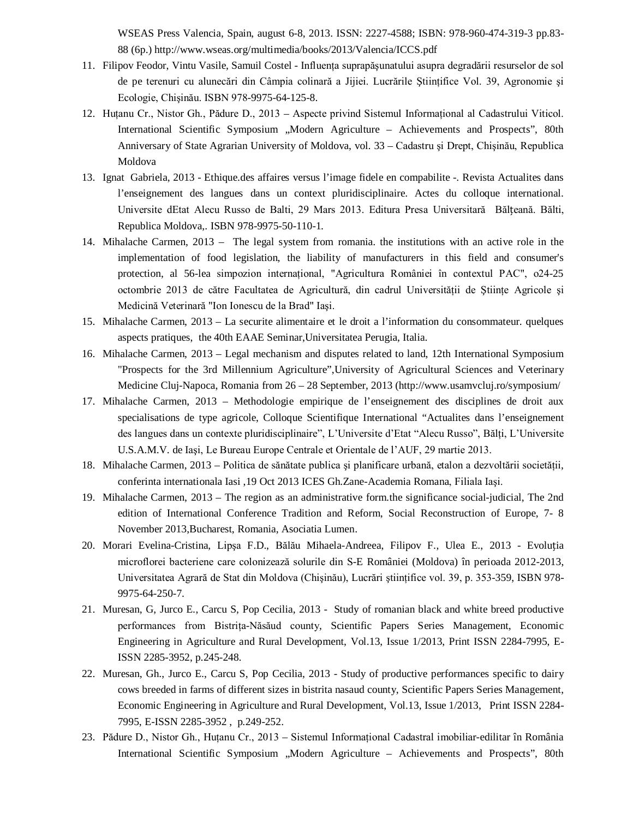WSEAS Press Valencia, Spain, august 6-8, 2013. ISSN: 2227-4588; ISBN: 978-960-474-319-3 pp.83- 88 (6p.) http://www.wseas.org/multimedia/books/2013/Valencia/ICCS.pdf

- 11. Filipov Feodor, Vintu Vasile, Samuil Costel Influenţa suprapăşunatului asupra degradării resurselor de sol de pe terenuri cu alunecări din Câmpia colinară a Jijiei. Lucrările Științifice Vol. 39, Agronomie și Ecologie, Chişinău. ISBN 978-9975-64-125-8.
- 12. Huţanu Cr., Nistor Gh., Pădure D., 2013 Aspecte privind Sistemul Informaţional al Cadastrului Viticol. International Scientific Symposium "Modern Agriculture – Achievements and Prospects", 80th Anniversary of State Agrarian University of Moldova, vol. 33 – Cadastru şi Drept, Chişinău, Republica Moldova
- 13. Ignat Gabriela, 2013 Ethique.des affaires versus l'image fidele en compabilite -. Revista Actualites dans l'enseignement des langues dans un context pluridisciplinaire. Actes du colloque international. Universite dEtat Alecu Russo de Balti, 29 Mars 2013. Editura Presa Universitară Bălțeană. Bălti, Republica Moldova,. ISBN 978-9975-50-110-1.
- 14. Mihalache Carmen, 2013 The legal system from romania. the institutions with an active role in the implementation of food legislation, the liability of manufacturers in this field and consumer's protection, al 56-lea simpozion internaţional, "Agricultura României în contextul PAC", o24-25 octombrie 2013 de către Facultatea de Agricultură, din cadrul Universității de Științe Agricole și Medicină Veterinară "Ion Ionescu de la Brad" Iaşi.
- 15. Mihalache Carmen, 2013 La securite alimentaire et le droit a l'information du consommateur. quelques aspects pratiques, the 40th EAAE Seminar,Universitatea Perugia, Italia.
- 16. Mihalache Carmen, 2013 Legal mechanism and disputes related to land, 12th International Symposium "Prospects for the 3rd Millennium Agriculture",University of Agricultural Sciences and Veterinary Medicine Cluj-Napoca, Romania from 26 – 28 September, 2013 (http://www.usamvcluj.ro/symposium/
- 17. Mihalache Carmen, 2013 Methodologie empirique de l'enseignement des disciplines de droit aux specialisations de type agricole, Colloque Scientifique International "Actualites dans l'enseignement des langues dans un contexte pluridisciplinaire", L'Universite d'Etat "Alecu Russo", Bălti, L'Universite U.S.A.M.V. de Iaşi, Le Bureau Europe Centrale et Orientale de l'AUF, 29 martie 2013.
- 18. Mihalache Carmen, 2013 Politica de sănătate publica şi planificare urbană, etalon a dezvoltării societăţii, conferinta internationala Iasi ,19 Oct 2013 ICES Gh.Zane-Academia Romana, Filiala Iaşi.
- 19. Mihalache Carmen, 2013 The region as an administrative form.the significance social-judicial, The 2nd edition of International Conference Tradition and Reform, Social Reconstruction of Europe, 7- 8 November 2013,Bucharest, Romania, Asociatia Lumen.
- 20. Morari Evelina-Cristina, Lipşa F.D., Bălău Mihaela-Andreea, Filipov F., Ulea E., 2013 Evoluția microflorei bacteriene care colonizează solurile din S-E României (Moldova) în perioada 2012-2013, Universitatea Agrară de Stat din Moldova (Chişinău), Lucrări ştiinţifice vol. 39, p. 353-359, ISBN 978- 9975-64-250-7.
- 21. Muresan, G, Jurco E., Carcu S, Pop Cecilia, 2013 Study of romanian black and white breed productive performances from Bistriţa-Năsăud county, Scientific Papers Series Management, Economic Engineering in Agriculture and Rural Development, Vol.13, Issue 1/2013, Print ISSN 2284-7995, E-ISSN 2285-3952, p.245-248.
- 22. Muresan, Gh., Jurco E., Carcu S, Pop Cecilia, 2013 Study of productive performances specific to dairy cows breeded in farms of different sizes in bistrita nasaud county, Scientific Papers Series Management, Economic Engineering in Agriculture and Rural Development, Vol.13, Issue 1/2013, Print ISSN 2284- 7995, E-ISSN 2285-3952 , p.249-252.
- 23. Pădure D., Nistor Gh., Huţanu Cr., 2013 Sistemul Informaţional Cadastral imobiliar-edilitar în România International Scientific Symposium "Modern Agriculture – Achievements and Prospects", 80th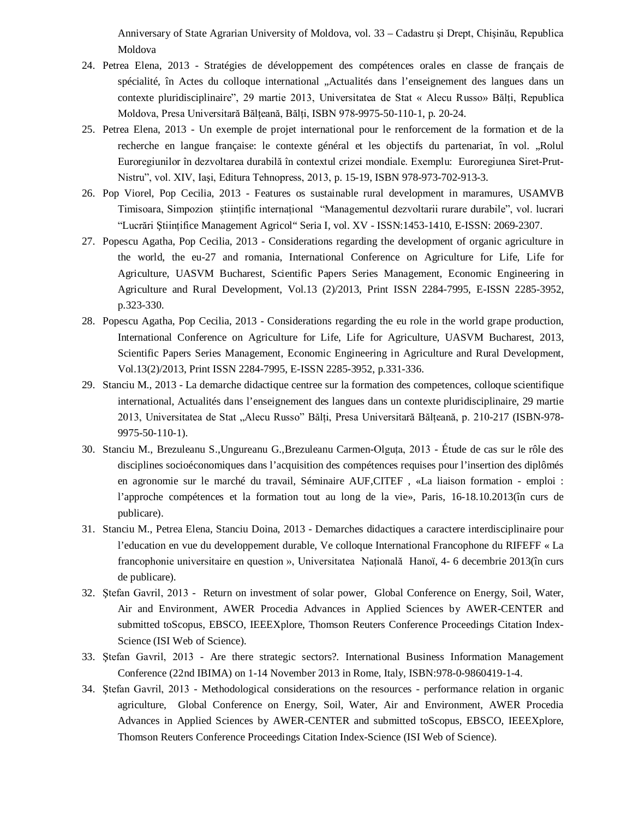Anniversary of State Agrarian University of Moldova, vol. 33 – Cadastru şi Drept, Chişinău, Republica Moldova

- 24. Petrea Elena, 2013 Stratégies de développement des compétences orales en classe de français de spécialité, în Actes du colloque international "Actualités dans l'enseignement des langues dans un contexte pluridisciplinaire", 29 martie 2013, Universitatea de Stat « Alecu Russo» Bălţi, Republica Moldova, Presa Universitară Bălţeană, Bălţi, ISBN 978-9975-50-110-1, p. 20-24.
- 25. Petrea Elena, 2013 Un exemple de projet international pour le renforcement de la formation et de la recherche en langue française: le contexte général et les objectifs du partenariat, în vol. "Rolul Euroregiunilor în dezvoltarea durabilă în contextul crizei mondiale. Exemplu: Euroregiunea Siret-Prut-Nistru", vol. XIV, Iaşi, Editura Tehnopress, 2013, p. 15-19, ISBN 978-973-702-913-3.
- 26. Pop Viorel, Pop Cecilia, 2013 Features os sustainable rural development in maramures, USAMVB Timisoara, Simpozion ştiinţific internaţional "Managementul dezvoltarii rurare durabile", vol. lucrari "Lucrări Ştiinţifice Management Agricol" Seria I, vol. XV - ISSN:1453-1410, E-ISSN: 2069-2307.
- 27. Popescu Agatha, Pop Cecilia, 2013 Considerations regarding the development of organic agriculture in the world, the eu-27 and romania, International Conference on Agriculture for Life, Life for Agriculture, UASVM Bucharest, Scientific Papers Series Management, Economic Engineering in Agriculture and Rural Development, Vol.13 (2)/2013, Print ISSN 2284-7995, E-ISSN 2285-3952, p.323-330.
- 28. Popescu Agatha, Pop Cecilia, 2013 Considerations regarding the eu role in the world grape production, International Conference on Agriculture for Life, Life for Agriculture, UASVM Bucharest, 2013, Scientific Papers Series Management, Economic Engineering in Agriculture and Rural Development, Vol.13(2)/2013, Print ISSN 2284-7995, E-ISSN 2285-3952, p.331-336.
- 29. Stanciu M., 2013 La demarche didactique centree sur la formation des competences, colloque scientifique international, Actualités dans l'enseignement des langues dans un contexte pluridisciplinaire, 29 martie 2013, Universitatea de Stat "Alecu Russo" Bălti, Presa Universitară Bălteană, p. 210-217 (ISBN-978-9975-50-110-1).
- 30. Stanciu M., Brezuleanu S.,Ungureanu G.,Brezuleanu Carmen-Olguţa, 2013 Étude de cas sur le rôle des disciplines socioéconomiques dans l'acquisition des compétences requises pour l'insertion des diplômés en agronomie sur le marché du travail, Séminaire AUF,CITEF , «La liaison formation - emploi : l'approche compétences et la formation tout au long de la vie», Paris, 16-18.10.2013(în curs de publicare).
- 31. Stanciu M., Petrea Elena, Stanciu Doina, 2013 Demarches didactiques a caractere interdisciplinaire pour l'education en vue du developpement durable, Ve colloque International Francophone du RIFEFF « La francophonie universitaire en question », Universitatea Națională Hanoï, 4- 6 decembrie 2013(în curs de publicare).
- 32. Ştefan Gavril, 2013 Return on investment of solar power, Global Conference on Energy, Soil, Water, Air and Environment, AWER Procedia Advances in Applied Sciences by AWER-CENTER and submitted toScopus, EBSCO, IEEEXplore, Thomson Reuters Conference Proceedings Citation Index-Science (ISI Web of Science).
- 33. Ştefan Gavril, 2013 Are there strategic sectors?. International Business Information Management Conference (22nd IBIMA) on 1-14 November 2013 in Rome, Italy, ISBN:978-0-9860419-1-4.
- 34. Ştefan Gavril, 2013 Methodological considerations on the resources performance relation in organic agriculture, Global Conference on Energy, Soil, Water, Air and Environment, AWER Procedia Advances in Applied Sciences by AWER-CENTER and submitted toScopus, EBSCO, IEEEXplore, Thomson Reuters Conference Proceedings Citation Index-Science (ISI Web of Science).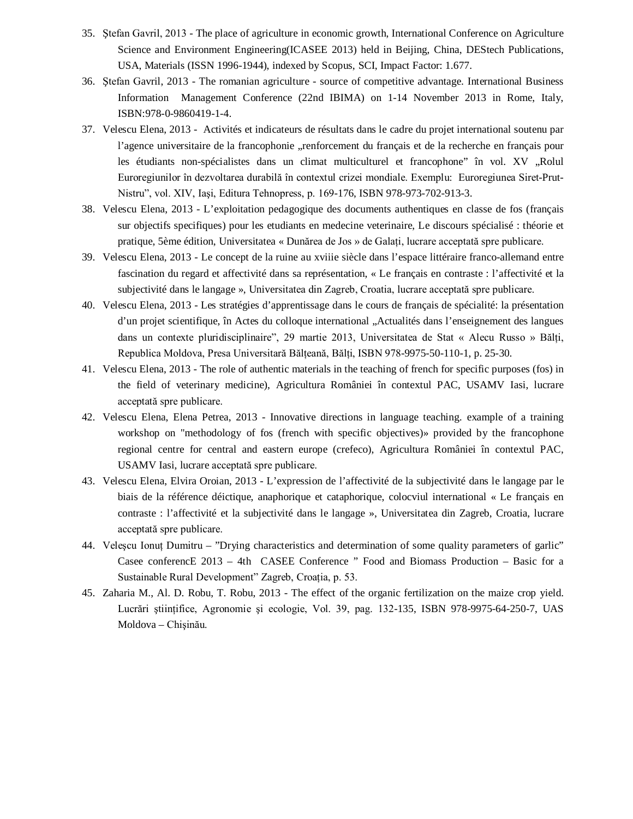- 35. Ştefan Gavril, 2013 The place of agriculture in economic growth, International Conference on Agriculture Science and Environment Engineering(ICASEE 2013) held in Beijing, China, DEStech Publications, USA, Materials (ISSN 1996-1944), indexed by Scopus, SCI, Impact Factor: 1.677.
- 36. Ştefan Gavril, 2013 The romanian agriculture source of competitive advantage. International Business Information Management Conference (22nd IBIMA) on 1-14 November 2013 in Rome, Italy, ISBN:978-0-9860419-1-4.
- 37. Velescu Elena, 2013 Activités et indicateurs de résultats dans le cadre du projet international soutenu par l'agence universitaire de la francophonie "renforcement du français et de la recherche en français pour les étudiants non-spécialistes dans un climat multiculturel et francophone" în vol. XV "Rolul Euroregiunilor în dezvoltarea durabilă în contextul crizei mondiale. Exemplu: Euroregiunea Siret-Prut-Nistru", vol. XIV, Iaşi, Editura Tehnopress, p. 169-176, ISBN 978-973-702-913-3.
- 38. Velescu Elena, 2013 L'exploitation pedagogique des documents authentiques en classe de fos (français sur objectifs specifiques) pour les etudiants en medecine veterinaire, Le discours spécialisé : théorie et pratique, 5ème édition, Universitatea « Dunărea de Jos » de Galaţi, lucrare acceptată spre publicare.
- 39. Velescu Elena, 2013 Le concept de la ruine au xviiie siècle dans l'espace littéraire franco-allemand entre fascination du regard et affectivité dans sa représentation, « Le français en contraste : l'affectivité et la subjectivité dans le langage », Universitatea din Zagreb, Croatia, lucrare acceptată spre publicare.
- 40. Velescu Elena, 2013 Les stratégies d'apprentissage dans le cours de français de spécialité: la présentation d'un projet scientifique, în Actes du colloque international "Actualités dans l'enseignement des langues dans un contexte pluridisciplinaire", 29 martie 2013, Universitatea de Stat « Alecu Russo » Bălți, Republica Moldova, Presa Universitară Bălţeană, Bălţi, ISBN 978-9975-50-110-1, p. 25-30.
- 41. Velescu Elena, 2013 The role of authentic materials in the teaching of french for specific purposes (fos) in the field of veterinary medicine), Agricultura României în contextul PAC, USAMV Iasi, lucrare acceptată spre publicare.
- 42. Velescu Elena, Elena Petrea, 2013 Innovative directions in language teaching. example of a training workshop on "methodology of fos (french with specific objectives)» provided by the francophone regional centre for central and eastern europe (crefeco), Agricultura României în contextul PAC, USAMV Iasi, lucrare acceptată spre publicare.
- 43. Velescu Elena, Elvira Oroian, 2013 L'expression de l'affectivité de la subjectivité dans le langage par le biais de la référence déictique, anaphorique et cataphorique, colocviul international « Le français en contraste : l'affectivité et la subjectivité dans le langage », Universitatea din Zagreb, Croatia, lucrare acceptată spre publicare.
- 44. Veleşcu Ionuţ Dumitru "Drying characteristics and determination of some quality parameters of garlic" Casee conferencE 2013 – 4th CASEE Conference " Food and Biomass Production – Basic for a Sustainable Rural Development" Zagreb, Croaţia, p. 53.
- 45. Zaharia M., Al. D. Robu, T. Robu, 2013 The effect of the organic fertilization on the maize crop yield. Lucrări ştiinţifice, Agronomie şi ecologie, Vol. 39, pag. 132-135, ISBN 978-9975-64-250-7, UAS Moldova – Chişinău.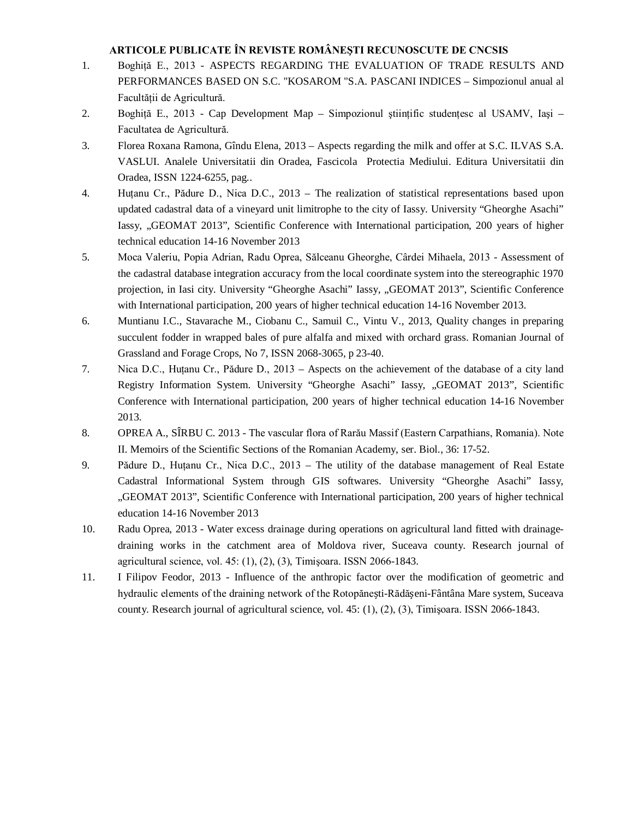#### **ARTICOLE PUBLICATE ÎN REVISTE ROMÂNEŞTI RECUNOSCUTE DE CNCSIS**

- 1. Boghită E., 2013 ASPECTS REGARDING THE EVALUATION OF TRADE RESULTS AND PERFORMANCES BASED ON S.C. "KOSAROM "S.A. PASCANI INDICES – Simpozionul anual al Facultăţii de Agricultură.
- 2. Boghiţă E., 2013 Cap Development Map Simpozionul ştiinţific studenţesc al USAMV, Iaşi Facultatea de Agricultură.
- 3. Florea Roxana Ramona, Gîndu Elena, 2013 Aspects regarding the milk and offer at S.C. ILVAS S.A. VASLUI. Analele Universitatii din Oradea, Fascicola Protectia Mediului. Editura Universitatii din Oradea, ISSN 1224-6255, pag..
- 4. Huţanu Cr., Pădure D., Nica D.C., 2013 The realization of statistical representations based upon updated cadastral data of a vineyard unit limitrophe to the city of Iassy. University "Gheorghe Asachi" Iassy, "GEOMAT 2013", Scientific Conference with International participation, 200 years of higher technical education 14-16 November 2013
- 5. Moca Valeriu, Popia Adrian, Radu Oprea, Sălceanu Gheorghe, Cârdei Mihaela, 2013 Assessment of the cadastral database integration accuracy from the local coordinate system into the stereographic 1970 projection, in Iasi city. University "Gheorghe Asachi" Iassy, "GEOMAT 2013", Scientific Conference with International participation, 200 years of higher technical education 14-16 November 2013.
- 6. Muntianu I.C., Stavarache M., Ciobanu C., Samuil C., Vintu V., 2013, Quality changes in preparing succulent fodder in wrapped bales of pure alfalfa and mixed with orchard grass. Romanian Journal of Grassland and Forage Crops, No 7, ISSN 2068-3065, p 23-40.
- 7. Nica D.C., Huţanu Cr., Pădure D., 2013 Aspects on the achievement of the database of a city land Registry Information System. University "Gheorghe Asachi" Iassy, "GEOMAT 2013", Scientific Conference with International participation, 200 years of higher technical education 14-16 November 2013.
- 8. OPREA A., SÎRBU C. 2013 The vascular flora of Rarău Massif (Eastern Carpathians, Romania). Note II. Memoirs of the Scientific Sections of the Romanian Academy, ser. Biol., 36: 17-52.
- 9. Pădure D., Huţanu Cr., Nica D.C., 2013 The utility of the database management of Real Estate Cadastral Informational System through GIS softwares. University "Gheorghe Asachi" Iassy, "GEOMAT 2013", Scientific Conference with International participation, 200 years of higher technical education 14-16 November 2013
- 10. Radu Oprea, 2013 Water excess drainage during operations on agricultural land fitted with drainagedraining works in the catchment area of Moldova river, Suceava county. Research journal of agricultural science, vol. 45: (1), (2), (3), Timişoara. ISSN 2066-1843.
- 11. I Filipov Feodor, 2013 Influence of the anthropic factor over the modification of geometric and hydraulic elements of the draining network of the Rotopănești-Rădășeni-Fântâna Mare system, Suceava county. Research journal of agricultural science, vol. 45: (1), (2), (3), Timişoara. ISSN 2066-1843.